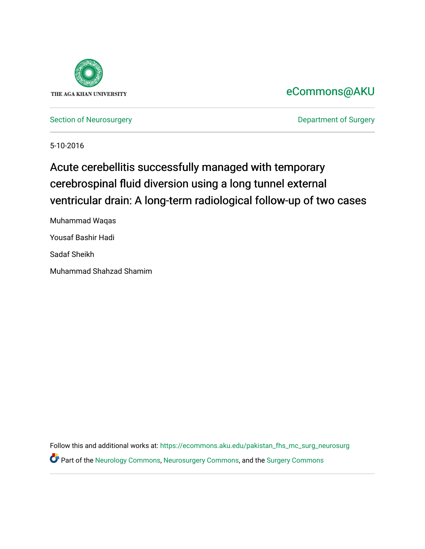

### [eCommons@AKU](https://ecommons.aku.edu/)

[Section of Neurosurgery](https://ecommons.aku.edu/pakistan_fhs_mc_surg_neurosurg) **Department of Surgery** Department of Surgery

5-10-2016

### Acute cerebellitis successfully managed with temporary cerebrospinal fluid diversion using a long tunnel external ventricular drain: A long-term radiological follow-up of two cases

Muhammad Waqas Yousaf Bashir Hadi Sadaf Sheikh Muhammad Shahzad Shamim

Follow this and additional works at: [https://ecommons.aku.edu/pakistan\\_fhs\\_mc\\_surg\\_neurosurg](https://ecommons.aku.edu/pakistan_fhs_mc_surg_neurosurg?utm_source=ecommons.aku.edu%2Fpakistan_fhs_mc_surg_neurosurg%2F220&utm_medium=PDF&utm_campaign=PDFCoverPages)  Part of the [Neurology Commons](http://network.bepress.com/hgg/discipline/692?utm_source=ecommons.aku.edu%2Fpakistan_fhs_mc_surg_neurosurg%2F220&utm_medium=PDF&utm_campaign=PDFCoverPages), [Neurosurgery Commons](http://network.bepress.com/hgg/discipline/1428?utm_source=ecommons.aku.edu%2Fpakistan_fhs_mc_surg_neurosurg%2F220&utm_medium=PDF&utm_campaign=PDFCoverPages), and the [Surgery Commons](http://network.bepress.com/hgg/discipline/706?utm_source=ecommons.aku.edu%2Fpakistan_fhs_mc_surg_neurosurg%2F220&utm_medium=PDF&utm_campaign=PDFCoverPages)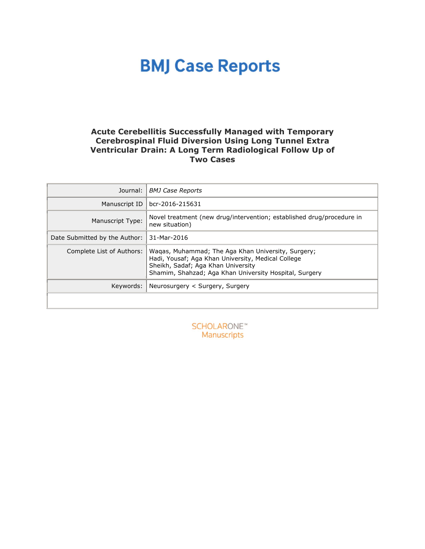### **Acute Cerebellitis Successfully Managed with Temporary Cerebrospinal Fluid Diversion Using Long Tunnel Extra Ventricular Drain: A Long Term Radiological Follow Up of Two Cases**

| Journal:                      | <b>BMJ Case Reports</b>                                                                                                                                                                                  |
|-------------------------------|----------------------------------------------------------------------------------------------------------------------------------------------------------------------------------------------------------|
| Manuscript ID                 | bcr-2016-215631                                                                                                                                                                                          |
| Manuscript Type:              | Novel treatment (new drug/intervention; established drug/procedure in<br>new situation)                                                                                                                  |
| Date Submitted by the Author: | 31-Mar-2016                                                                                                                                                                                              |
| Complete List of Authors:     | Wagas, Muhammad; The Aga Khan University, Surgery;<br>Hadi, Yousaf; Aga Khan University, Medical College<br>Sheikh, Sadaf; Aga Khan University<br>Shamim, Shahzad; Aga Khan University Hospital, Surgery |
| Keywords:                     | Neurosurgery < Surgery, Surgery                                                                                                                                                                          |
|                               |                                                                                                                                                                                                          |

**SCHOLARONE™** Manuscripts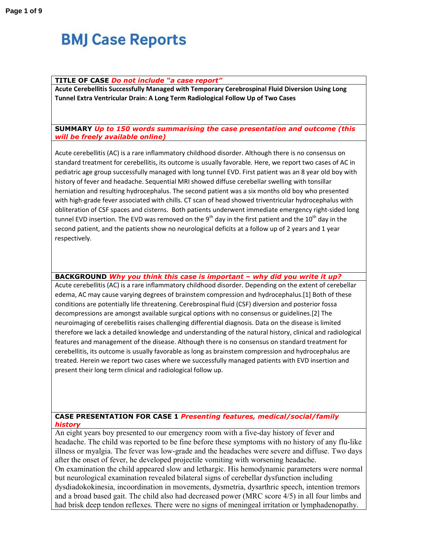#### **TITLE OF CASE** *Do not include "a case report"*

**Acute Cerebellitis Successfully Managed with Temporary Cerebrospinal Fluid Diversion Using Long Tunnel Extra Ventricular Drain: A Long Term Radiological Follow Up of Two Cases** 

#### **SUMMARY** *Up to 150 words summarising the case presentation and outcome (this will be freely available online)*

Acute cerebellitis (AC) is a rare inflammatory childhood disorder. Although there is no consensus on standard treatment for cerebellitis, its outcome is usually favorable. Here, we report two cases of AC in pediatric age group successfully managed with long tunnel EVD. First patient was an 8 year old boy with history of fever and headache. Sequential MRI showed diffuse cerebellar swelling with tonsillar herniation and resulting hydrocephalus. The second patient was a six months old boy who presented with high-grade fever associated with chills. CT scan of head showed triventricular hydrocephalus with obliteration of CSF spaces and cisterns. Both patients underwent immediate emergency right-sided long tunnel EVD insertion. The EVD was removed on the 9<sup>th</sup> day in the first patient and the 10<sup>th</sup> day in the second patient, and the patients show no neurological deficits at a follow up of 2 years and 1 year respectively.

**BACKGROUND** *Why you think this case is important – why did you write it up?* 

Acute cerebellitis (AC) is a rare inflammatory childhood disorder. Depending on the extent of cerebellar edema, AC may cause varying degrees of brainstem compression and hydrocephalus.[1] Both of these conditions are potentially life threatening. Cerebrospinal fluid (CSF) diversion and posterior fossa decompressions are amongst available surgical options with no consensus or guidelines.[2] The neuroimaging of cerebellitis raises challenging differential diagnosis. Data on the disease is limited therefore we lack a detailed knowledge and understanding of the natural history, clinical and radiological features and management of the disease. Although there is no consensus on standard treatment for cerebellitis, its outcome is usually favorable as long as brainstem compression and hydrocephalus are treated. Herein we report two cases where we successfully managed patients with EVD insertion and present their long term clinical and radiological follow up.

### **CASE PRESENTATION FOR CASE 1** *Presenting features, medical/social/family history*

An eight years boy presented to our emergency room with a five-day history of fever and headache. The child was reported to be fine before these symptoms with no history of any flu-like illness or myalgia. The fever was low-grade and the headaches were severe and diffuse. Two days after the onset of fever, he developed projectile vomiting with worsening headache.

On examination the child appeared slow and lethargic. His hemodynamic parameters were normal but neurological examination revealed bilateral signs of cerebellar dysfunction including

dysdiadokokinesia, incoordination in movements, dysmetria, dysarthric speech, intention tremors and a broad based gait. The child also had decreased power (MRC score 4/5) in all four limbs and had brisk deep tendon reflexes. There were no signs of meningeal irritation or lymphadenopathy.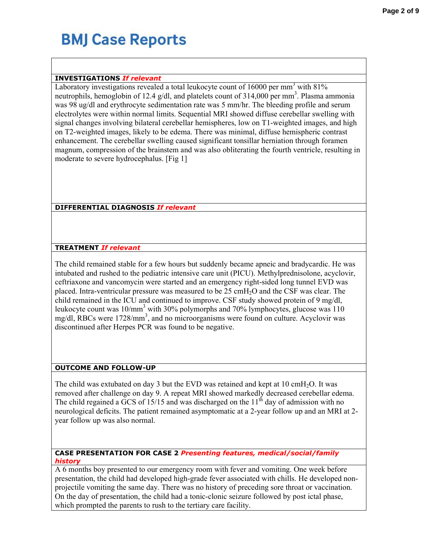### **INVESTIGATIONS** *If relevant*

Laboratory investigations revealed a total leukocyte count of  $16000$  per mm<sup>3</sup> with  $81\%$ neutrophils, hemoglobin of 12.4 g/dl, and platelets count of  $314,000$  per mm<sup>3</sup>. Plasma ammonia was 98 ug/dl and erythrocyte sedimentation rate was 5 mm/hr. The bleeding profile and serum electrolytes were within normal limits. Sequential MRI showed diffuse cerebellar swelling with signal changes involving bilateral cerebellar hemispheres, low on T1-weighted images, and high on T2-weighted images, likely to be edema. There was minimal, diffuse hemispheric contrast enhancement. The cerebellar swelling caused significant tonsillar herniation through foramen magnum, compression of the brainstem and was also obliterating the fourth ventricle, resulting in moderate to severe hydrocephalus. [Fig 1]

### **DIFFERENTIAL DIAGNOSIS** *If relevant*

### **TREATMENT** *If relevant*

The child remained stable for a few hours but suddenly became apneic and bradycardic. He was intubated and rushed to the pediatric intensive care unit (PICU). Methylprednisolone, acyclovir, ceftriaxone and vancomycin were started and an emergency right-sided long tunnel EVD was placed. Intra-ventricular pressure was measured to be 25 cmH2O and the CSF was clear. The child remained in the ICU and continued to improve. CSF study showed protein of 9 mg/dl, leukocyte count was 10/mm<sup>3</sup> with 30% polymorphs and 70% lymphocytes, glucose was 110 mg/dl, RBCs were 1728/mm<sup>3</sup>, and no microorganisms were found on culture. Acyclovir was discontinued after Herpes PCR was found to be negative.

### **OUTCOME AND FOLLOW-UP**

The child was extubated on day 3 but the EVD was retained and kept at  $10 \text{ cm}H_2O$ . It was removed after challenge on day 9. A repeat MRI showed markedly decreased cerebellar edema. The child regained a  $\overline{GCS}$  of 15/15 and was discharged on the 11<sup>th</sup> day of admission with no neurological deficits. The patient remained asymptomatic at a 2-year follow up and an MRI at 2 year follow up was also normal.

#### **CASE PRESENTATION FOR CASE 2** *Presenting features, medical/social/family history*

A 6 months boy presented to our emergency room with fever and vomiting. One week before presentation, the child had developed high-grade fever associated with chills. He developed nonprojectile vomiting the same day. There was no history of preceding sore throat or vaccination. On the day of presentation, the child had a tonic-clonic seizure followed by post ictal phase, which prompted the parents to rush to the tertiary care facility.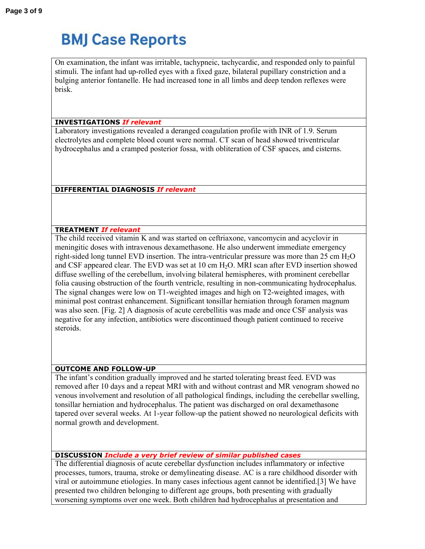On examination, the infant was irritable, tachypneic, tachycardic, and responded only to painful stimuli. The infant had up-rolled eyes with a fixed gaze, bilateral pupillary constriction and a bulging anterior fontanelle. He had increased tone in all limbs and deep tendon reflexes were brisk.

### **INVESTIGATIONS** *If relevant*

Laboratory investigations revealed a deranged coagulation profile with INR of 1.9. Serum electrolytes and complete blood count were normal. CT scan of head showed triventricular hydrocephalus and a cramped posterior fossa, with obliteration of CSF spaces, and cisterns.

**DIFFERENTIAL DIAGNOSIS** *If relevant*

### **TREATMENT** *If relevant*

The child received vitamin K and was started on ceftriaxone, vancomycin and acyclovir in meningitic doses with intravenous dexamethasone. He also underwent immediate emergency right-sided long tunnel EVD insertion. The intra-ventricular pressure was more than  $25 \text{ cm H}_2\text{O}$ and CSF appeared clear. The EVD was set at 10 cm H<sub>2</sub>O. MRI scan after EVD insertion showed diffuse swelling of the cerebellum, involving bilateral hemispheres, with prominent cerebellar folia causing obstruction of the fourth ventricle, resulting in non-communicating hydrocephalus. The signal changes were low on T1-weighted images and high on T2-weighted images, with minimal post contrast enhancement. Significant tonsillar herniation through foramen magnum was also seen. [Fig. 2] A diagnosis of acute cerebellitis was made and once CSF analysis was negative for any infection, antibiotics were discontinued though patient continued to receive steroids.

### **OUTCOME AND FOLLOW-UP**

The infant's condition gradually improved and he started tolerating breast feed. EVD was removed after 10 days and a repeat MRI with and without contrast and MR venogram showed no venous involvement and resolution of all pathological findings, including the cerebellar swelling, tonsillar herniation and hydrocephalus. The patient was discharged on oral dexamethasone tapered over several weeks. At 1-year follow-up the patient showed no neurological deficits with normal growth and development.

### **DISCUSSION** *Include a very brief review of similar published cases*

The differential diagnosis of acute cerebellar dysfunction includes inflammatory or infective processes, tumors, trauma, stroke or demylineating disease. AC is a rare childhood disorder with viral or autoimmune etiologies. In many cases infectious agent cannot be identified.[3] We have presented two children belonging to different age groups, both presenting with gradually worsening symptoms over one week. Both children had hydrocephalus at presentation and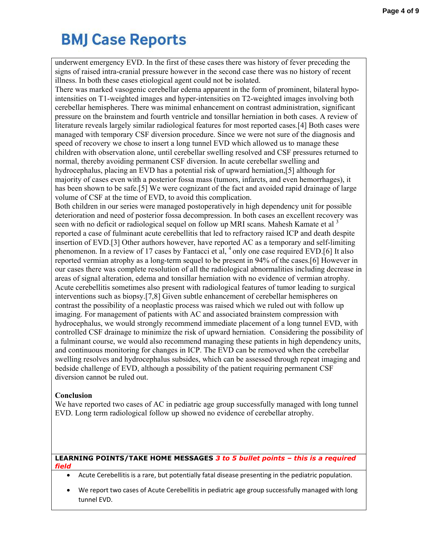underwent emergency EVD. In the first of these cases there was history of fever preceding the signs of raised intra-cranial pressure however in the second case there was no history of recent illness. In both these cases etiological agent could not be isolated.

There was marked vasogenic cerebellar edema apparent in the form of prominent, bilateral hypointensities on T1-weighted images and hyper-intensities on T2-weighted images involving both cerebellar hemispheres. There was minimal enhancement on contrast administration, significant pressure on the brainstem and fourth ventricle and tonsillar herniation in both cases. A review of literature reveals largely similar radiological features for most reported cases.[4] Both cases were managed with temporary CSF diversion procedure. Since we were not sure of the diagnosis and speed of recovery we chose to insert a long tunnel EVD which allowed us to manage these children with observation alone, until cerebellar swelling resolved and CSF pressures returned to normal, thereby avoiding permanent CSF diversion. In acute cerebellar swelling and hydrocephalus, placing an EVD has a potential risk of upward herniation,[5] although for majority of cases even with a posterior fossa mass (tumors, infarcts, and even hemorrhages), it has been shown to be safe.[5] We were cognizant of the fact and avoided rapid drainage of large volume of CSF at the time of EVD, to avoid this complication.

Both children in our series were managed postoperatively in high dependency unit for possible deterioration and need of posterior fossa decompression. In both cases an excellent recovery was seen with no deficit or radiological sequel on follow up MRI scans. Mahesh Kamate et al <sup>3</sup> reported a case of fulminant acute cerebellitis that led to refractory raised ICP and death despite insertion of EVD.[3] Other authors however, have reported AC as a temporary and self-limiting phenomenon. In a review of 17 cases by Fantacci et al,  $4$  only one case required EVD.[6] It also reported vermian atrophy as a long-term sequel to be present in 94% of the cases.[6] However in our cases there was complete resolution of all the radiological abnormalities including decrease in areas of signal alteration, edema and tonsillar herniation with no evidence of vermian atrophy. Acute cerebellitis sometimes also present with radiological features of tumor leading to surgical interventions such as biopsy.[7,8] Given subtle enhancement of cerebellar hemispheres on contrast the possibility of a neoplastic process was raised which we ruled out with follow up imaging. For management of patients with AC and associated brainstem compression with hydrocephalus, we would strongly recommend immediate placement of a long tunnel EVD, with controlled CSF drainage to minimize the risk of upward herniation. Considering the possibility of a fulminant course, we would also recommend managing these patients in high dependency units, and continuous monitoring for changes in ICP. The EVD can be removed when the cerebellar swelling resolves and hydrocephalus subsides, which can be assessed through repeat imaging and bedside challenge of EVD, although a possibility of the patient requiring permanent CSF diversion cannot be ruled out.

### **Conclusion**

We have reported two cases of AC in pediatric age group successfully managed with long tunnel EVD. Long term radiological follow up showed no evidence of cerebellar atrophy.

#### **LEARNING POINTS/TAKE HOME MESSAGES** *3 to 5 bullet points – this is a required field*

- Acute Cerebellitis is a rare, but potentially fatal disease presenting in the pediatric population.
- We report two cases of Acute Cerebellitis in pediatric age group successfully managed with long tunnel EVD.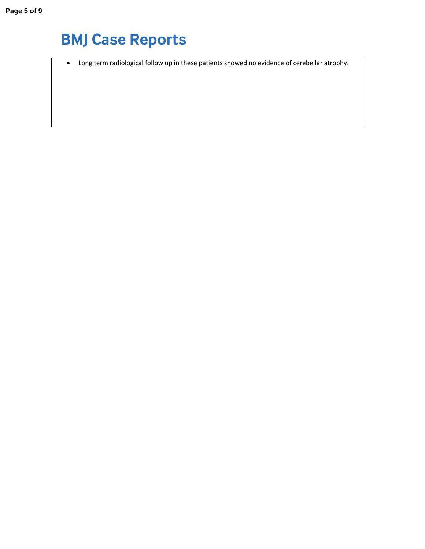• Long term radiological follow up in these patients showed no evidence of cerebellar atrophy.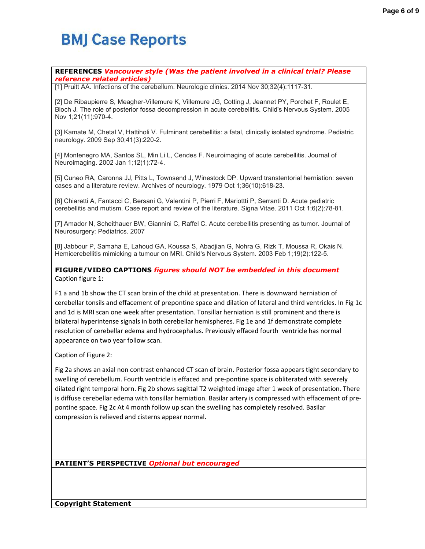#### **REFERENCES** *Vancouver style (Was the patient involved in a clinical trial? Please reference related articles)*

[1] Pruitt AA. Infections of the cerebellum. Neurologic clinics. 2014 Nov 30;32(4):1117-31.

[2] De Ribaupierre S, Meagher-Villemure K, Villemure JG, Cotting J, Jeannet PY, Porchet F, Roulet E, Bloch J. The role of posterior fossa decompression in acute cerebellitis. Child's Nervous System. 2005 Nov 1;21(11):970-4.

[3] Kamate M, Chetal V, Hattiholi V. Fulminant cerebellitis: a fatal, clinically isolated syndrome. Pediatric neurology. 2009 Sep 30;41(3):220-2.

[4] Montenegro MA, Santos SL, Min Li L, Cendes F. Neuroimaging of acute cerebellitis. Journal of Neuroimaging. 2002 Jan 1;12(1):72-4.

[5] Cuneo RA, Caronna JJ, Pitts L, Townsend J, Winestock DP. Upward transtentorial herniation: seven cases and a literature review. Archives of neurology. 1979 Oct 1;36(10):618-23.

[6] Chiaretti A, Fantacci C, Bersani G, Valentini P, Pierri F, Mariottti P, Serranti D. Acute pediatric cerebellitis and mutism. Case report and review of the literature. Signa Vitae. 2011 Oct 1;6(2):78-81.

[7] Amador N, Scheithauer BW, Giannini C, Raffel C. Acute cerebellitis presenting as tumor. Journal of Neurosurgery: Pediatrics. 2007

[8] Jabbour P, Samaha E, Lahoud GA, Koussa S, Abadjian G, Nohra G, Rizk T, Moussa R, Okais N. Hemicerebellitis mimicking a tumour on MRI. Child's Nervous System. 2003 Feb 1;19(2):122-5.

**FIGURE/VIDEO CAPTIONS** *figures should NOT be embedded in this document* Caption figure 1:

F1 a and 1b show the CT scan brain of the child at presentation. There is downward herniation of cerebellar tonsils and effacement of prepontine space and dilation of lateral and third ventricles. In Fig 1c and 1d is MRI scan one week after presentation. Tonsillar herniation is still prominent and there is bilateral hyperintense signals in both cerebellar hemispheres. Fig 1e and 1f demonstrate complete resolution of cerebellar edema and hydrocephalus. Previously effaced fourth ventricle has normal appearance on two year follow scan.

Caption of Figure 2:

Fig 2a shows an axial non contrast enhanced CT scan of brain. Posterior fossa appears tight secondary to swelling of cerebellum. Fourth ventricle is effaced and pre-pontine space is obliterated with severely dilated right temporal horn. Fig 2b shows sagittal T2 weighted image after 1 week of presentation. There is diffuse cerebellar edema with tonsillar herniation. Basilar artery is compressed with effacement of prepontine space. Fig 2c At 4 month follow up scan the swelling has completely resolved. Basilar compression is relieved and cisterns appear normal.

**PATIENT'S PERSPECTIVE** *Optional but encouraged*

**Copyright Statement**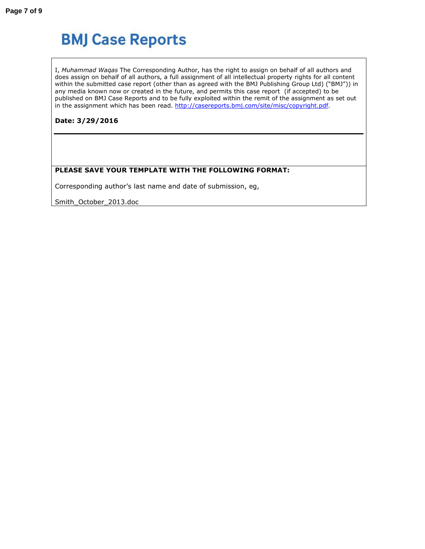I, *Muhammad Waqas* The Corresponding Author, has the right to assign on behalf of all authors and does assign on behalf of all authors, a full assignment of all intellectual property rights for all content within the submitted case report (other than as agreed with the BMJ Publishing Group Ltd) ("BMJ")) in any media known now or created in the future, and permits this case report (if accepted) to be published on BMJ Case Reports and to be fully exploited within the remit of the assignment as set out in the assignment which has been read. http://casereports.bmj.com/site/misc/copyright.pdf.

**Date: 3/29/2016** 

### **PLEASE SAVE YOUR TEMPLATE WITH THE FOLLOWING FORMAT:**

Corresponding author's last name and date of submission, eg,

Smith\_October\_2013.doc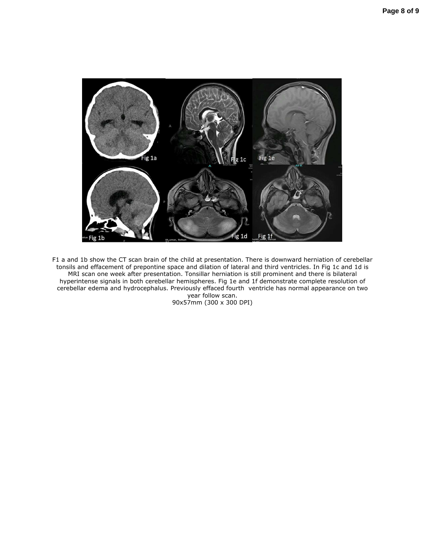

F1 a and 1b show the CT scan brain of the child at presentation. There is downward herniation of cerebellar tonsils and effacement of prepontine space and dilation of lateral and third ventricles. In Fig 1c and 1d is MRI scan one week after presentation. Tonsillar herniation is still prominent and there is bilateral hyperintense signals in both cerebellar hemispheres. Fig 1e and 1f demonstrate complete resolution of cerebellar edema and hydrocephalus. Previously effaced fourth ventricle has normal appearance on two year follow scan.

90x57mm (300 x 300 DPI)